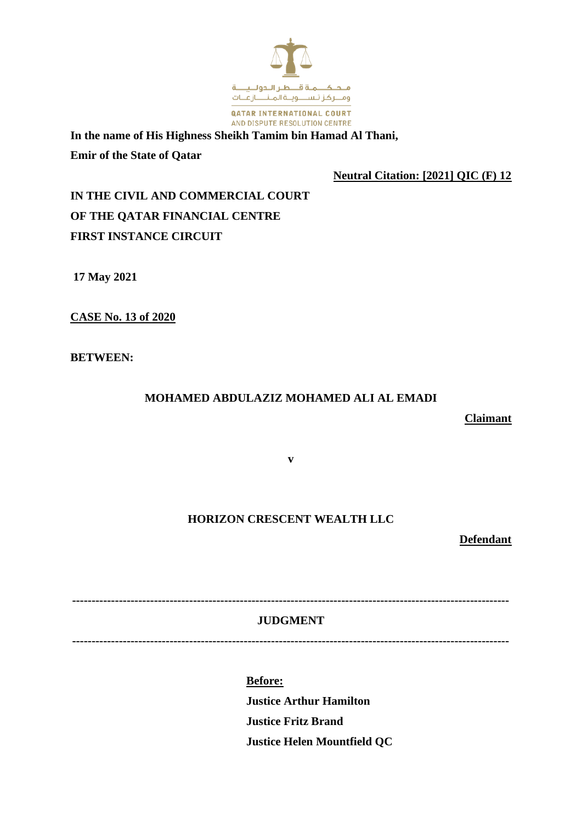

**In the name of His Highness Sheikh Tamim bin Hamad Al Thani, Emir of the State of Qatar**

**Neutral Citation: [2021] QIC (F) 12**

**IN THE CIVIL AND COMMERCIAL COURT OF THE QATAR FINANCIAL CENTRE FIRST INSTANCE CIRCUIT**

**17 May 2021**

**CASE No. 13 of 2020**

**BETWEEN:**

## **MOHAMED ABDULAZIZ MOHAMED ALI AL EMADI**

**Claimant**

**v**

## **HORIZON CRESCENT WEALTH LLC**

**Defendant**

**JUDGMENT**

**----------------------------------------------------------------------------------------------------------------**

**----------------------------------------------------------------------------------------------------------------**

**Before: Justice Arthur Hamilton Justice Fritz Brand Justice Helen Mountfield QC**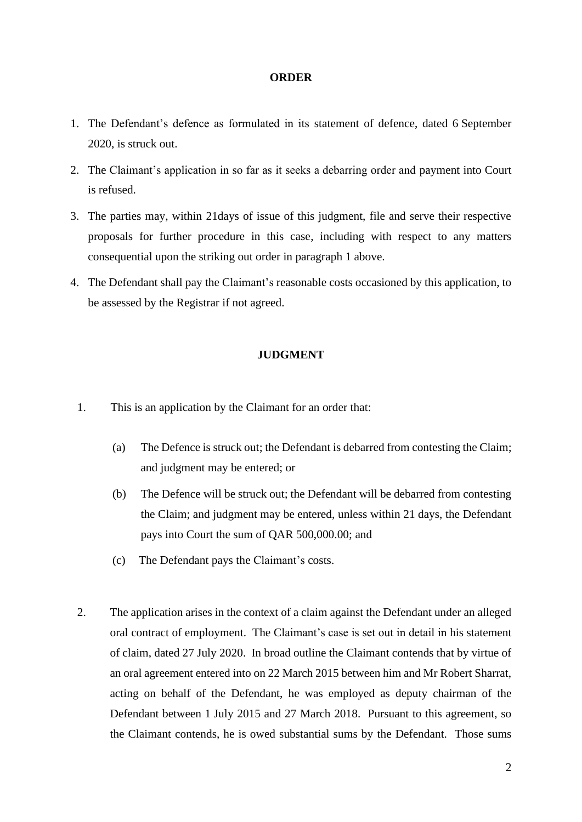## **ORDER**

- 1. The Defendant's defence as formulated in its statement of defence, dated 6 September 2020, is struck out.
- 2. The Claimant's application in so far as it seeks a debarring order and payment into Court is refused.
- 3. The parties may, within 21days of issue of this judgment, file and serve their respective proposals for further procedure in this case, including with respect to any matters consequential upon the striking out order in paragraph 1 above.
- 4. The Defendant shall pay the Claimant's reasonable costs occasioned by this application, to be assessed by the Registrar if not agreed.

## **JUDGMENT**

- 1. This is an application by the Claimant for an order that:
	- (a) The Defence is struck out; the Defendant is debarred from contesting the Claim; and judgment may be entered; or
	- (b) The Defence will be struck out; the Defendant will be debarred from contesting the Claim; and judgment may be entered, unless within 21 days, the Defendant pays into Court the sum of QAR 500,000.00; and
	- (c) The Defendant pays the Claimant's costs.
- 2. The application arises in the context of a claim against the Defendant under an alleged oral contract of employment. The Claimant's case is set out in detail in his statement of claim, dated 27 July 2020. In broad outline the Claimant contends that by virtue of an oral agreement entered into on 22 March 2015 between him and Mr Robert Sharrat, acting on behalf of the Defendant, he was employed as deputy chairman of the Defendant between 1 July 2015 and 27 March 2018. Pursuant to this agreement, so the Claimant contends, he is owed substantial sums by the Defendant. Those sums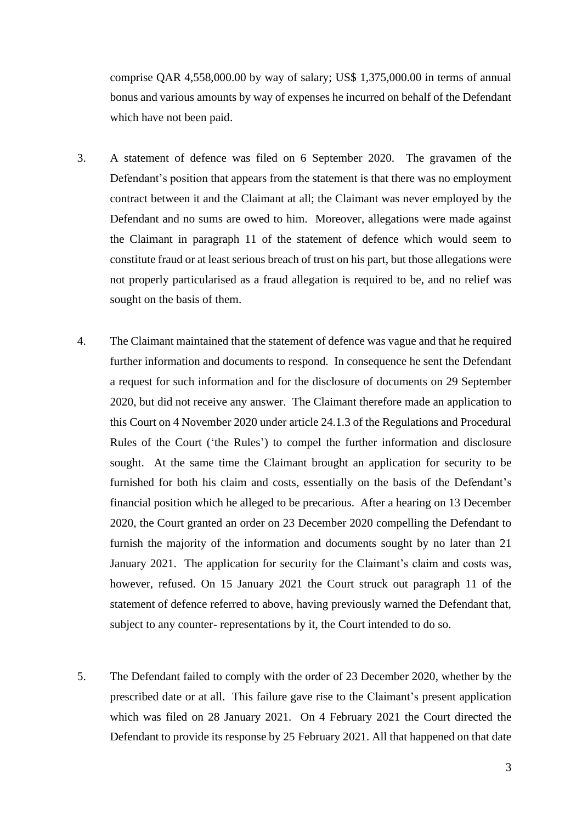comprise QAR 4,558,000.00 by way of salary; US\$ 1,375,000.00 in terms of annual bonus and various amounts by way of expenses he incurred on behalf of the Defendant which have not been paid.

- 3. A statement of defence was filed on 6 September 2020. The gravamen of the Defendant's position that appears from the statement is that there was no employment contract between it and the Claimant at all; the Claimant was never employed by the Defendant and no sums are owed to him. Moreover, allegations were made against the Claimant in paragraph 11 of the statement of defence which would seem to constitute fraud or at least serious breach of trust on his part, but those allegations were not properly particularised as a fraud allegation is required to be, and no relief was sought on the basis of them.
- 4. The Claimant maintained that the statement of defence was vague and that he required further information and documents to respond. In consequence he sent the Defendant a request for such information and for the disclosure of documents on 29 September 2020, but did not receive any answer. The Claimant therefore made an application to this Court on 4 November 2020 under article 24.1.3 of the Regulations and Procedural Rules of the Court ('the Rules') to compel the further information and disclosure sought. At the same time the Claimant brought an application for security to be furnished for both his claim and costs, essentially on the basis of the Defendant's financial position which he alleged to be precarious. After a hearing on 13 December 2020, the Court granted an order on 23 December 2020 compelling the Defendant to furnish the majority of the information and documents sought by no later than 21 January 2021. The application for security for the Claimant's claim and costs was, however, refused. On 15 January 2021 the Court struck out paragraph 11 of the statement of defence referred to above, having previously warned the Defendant that, subject to any counter- representations by it, the Court intended to do so.
- 5. The Defendant failed to comply with the order of 23 December 2020, whether by the prescribed date or at all. This failure gave rise to the Claimant's present application which was filed on 28 January 2021. On 4 February 2021 the Court directed the Defendant to provide its response by 25 February 2021. All that happened on that date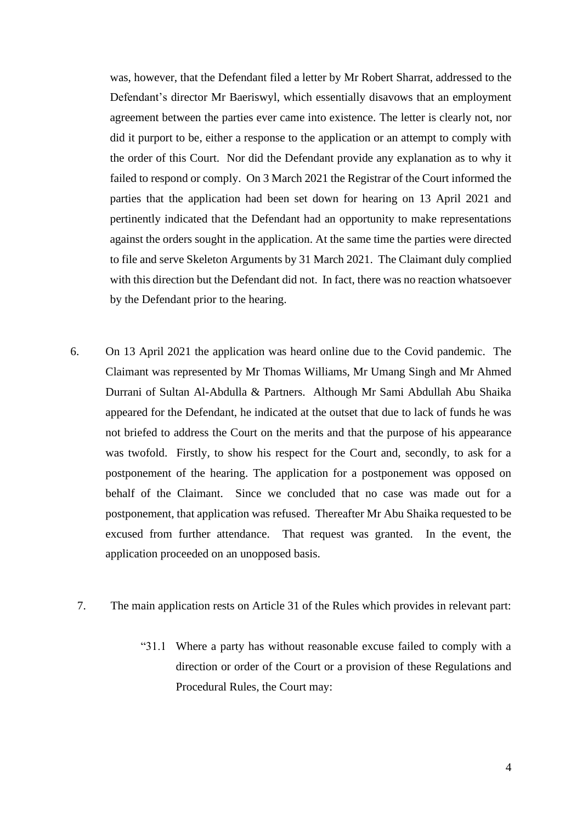was, however, that the Defendant filed a letter by Mr Robert Sharrat, addressed to the Defendant's director Mr Baeriswyl, which essentially disavows that an employment agreement between the parties ever came into existence. The letter is clearly not, nor did it purport to be, either a response to the application or an attempt to comply with the order of this Court. Nor did the Defendant provide any explanation as to why it failed to respond or comply. On 3 March 2021 the Registrar of the Court informed the parties that the application had been set down for hearing on 13 April 2021 and pertinently indicated that the Defendant had an opportunity to make representations against the orders sought in the application. At the same time the parties were directed to file and serve Skeleton Arguments by 31 March 2021. The Claimant duly complied with this direction but the Defendant did not. In fact, there was no reaction whatsoever by the Defendant prior to the hearing.

- 6. On 13 April 2021 the application was heard online due to the Covid pandemic. The Claimant was represented by Mr Thomas Williams, Mr Umang Singh and Mr Ahmed Durrani of Sultan Al-Abdulla & Partners. Although Mr Sami Abdullah Abu Shaika appeared for the Defendant, he indicated at the outset that due to lack of funds he was not briefed to address the Court on the merits and that the purpose of his appearance was twofold. Firstly, to show his respect for the Court and, secondly, to ask for a postponement of the hearing. The application for a postponement was opposed on behalf of the Claimant. Since we concluded that no case was made out for a postponement, that application was refused. Thereafter Mr Abu Shaika requested to be excused from further attendance. That request was granted. In the event, the application proceeded on an unopposed basis.
	- 7. The main application rests on Article 31 of the Rules which provides in relevant part:
		- "31.1 Where a party has without reasonable excuse failed to comply with a direction or order of the Court or a provision of these Regulations and Procedural Rules, the Court may: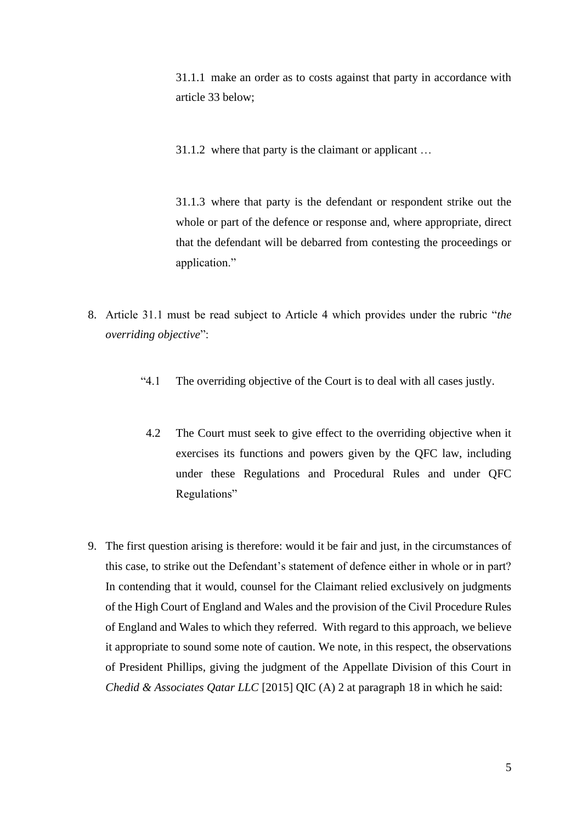31.1.1 make an order as to costs against that party in accordance with article 33 below;

31.1.2 where that party is the claimant or applicant …

31.1.3 where that party is the defendant or respondent strike out the whole or part of the defence or response and, where appropriate, direct that the defendant will be debarred from contesting the proceedings or application."

- 8. Article 31.1 must be read subject to Article 4 which provides under the rubric "*the overriding objective*":
	- "4.1 The overriding objective of the Court is to deal with all cases justly.
	- 4.2 The Court must seek to give effect to the overriding objective when it exercises its functions and powers given by the QFC law, including under these Regulations and Procedural Rules and under QFC Regulations"
- 9. The first question arising is therefore: would it be fair and just, in the circumstances of this case, to strike out the Defendant's statement of defence either in whole or in part? In contending that it would, counsel for the Claimant relied exclusively on judgments of the High Court of England and Wales and the provision of the Civil Procedure Rules of England and Wales to which they referred. With regard to this approach, we believe it appropriate to sound some note of caution. We note, in this respect, the observations of President Phillips, giving the judgment of the Appellate Division of this Court in *Chedid & Associates Qatar LLC* [2015] QIC (A) 2 at paragraph 18 in which he said: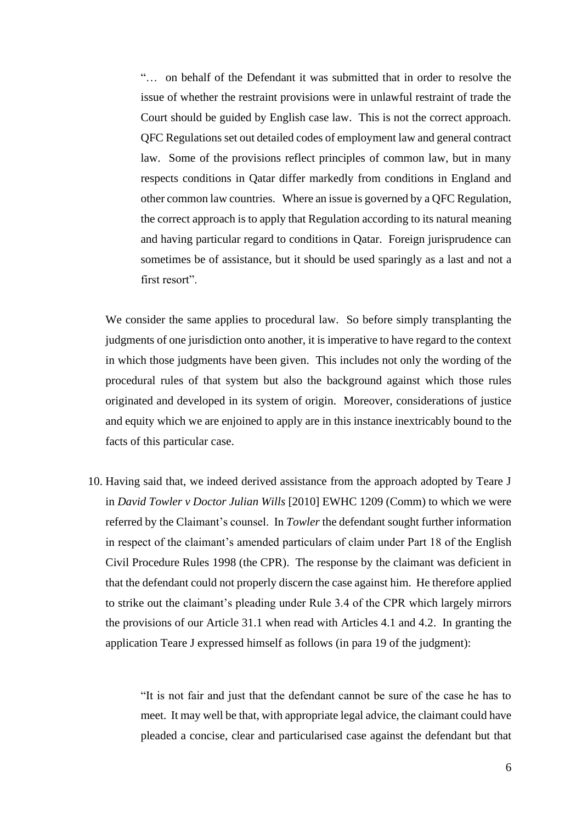"… on behalf of the Defendant it was submitted that in order to resolve the issue of whether the restraint provisions were in unlawful restraint of trade the Court should be guided by English case law. This is not the correct approach. QFC Regulations set out detailed codes of employment law and general contract law. Some of the provisions reflect principles of common law, but in many respects conditions in Qatar differ markedly from conditions in England and other common law countries. Where an issue is governed by a QFC Regulation, the correct approach is to apply that Regulation according to its natural meaning and having particular regard to conditions in Qatar. Foreign jurisprudence can sometimes be of assistance, but it should be used sparingly as a last and not a first resort".

We consider the same applies to procedural law. So before simply transplanting the judgments of one jurisdiction onto another, it is imperative to have regard to the context in which those judgments have been given. This includes not only the wording of the procedural rules of that system but also the background against which those rules originated and developed in its system of origin. Moreover, considerations of justice and equity which we are enjoined to apply are in this instance inextricably bound to the facts of this particular case.

10. Having said that, we indeed derived assistance from the approach adopted by Teare J in *David Towler v Doctor Julian Wills* [2010] EWHC 1209 (Comm) to which we were referred by the Claimant's counsel. In *Towler* the defendant sought further information in respect of the claimant's amended particulars of claim under Part 18 of the English Civil Procedure Rules 1998 (the CPR). The response by the claimant was deficient in that the defendant could not properly discern the case against him. He therefore applied to strike out the claimant's pleading under Rule 3.4 of the CPR which largely mirrors the provisions of our Article 31.1 when read with Articles 4.1 and 4.2. In granting the application Teare J expressed himself as follows (in para 19 of the judgment):

> "It is not fair and just that the defendant cannot be sure of the case he has to meet. It may well be that, with appropriate legal advice, the claimant could have pleaded a concise, clear and particularised case against the defendant but that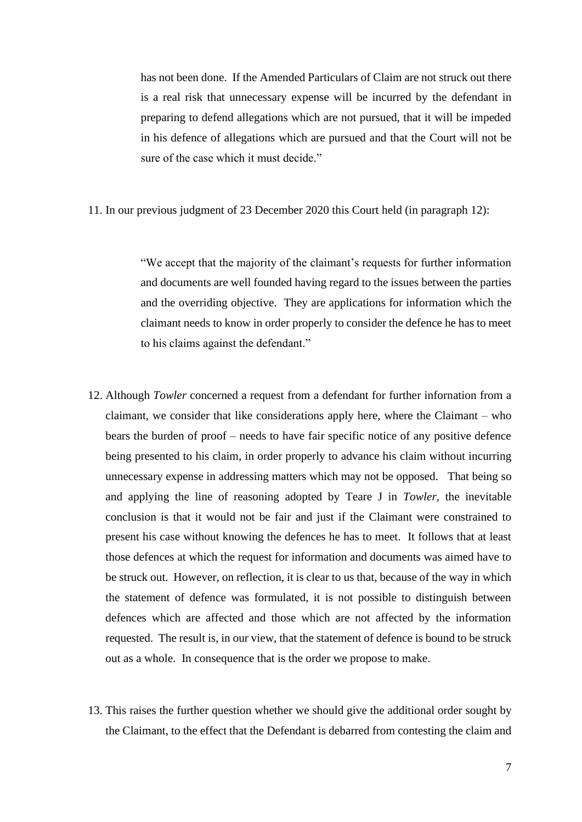has not been done. If the Amended Particulars of Claim are not struck out there is a real risk that unnecessary expense will be incurred by the defendant in preparing to defend allegations which are not pursued, that it will be impeded in his defence of allegations which are pursued and that the Court will not be sure of the case which it must decide."

11. In our previous judgment of 23 December 2020 this Court held (in paragraph 12):

"We accept that the majority of the claimant's requests for further information and documents are well founded having regard to the issues between the parties and the overriding objective. They are applications for information which the claimant needs to know in order properly to consider the defence he has to meet to his claims against the defendant."

- 12. Although *Towler* concerned a request from a defendant for further infornation from a claimant, we consider that like considerations apply here, where the Claimant – who bears the burden of proof – needs to have fair specific notice of any positive defence being presented to his claim, in order properly to advance his claim without incurring unnecessary expense in addressing matters which may not be opposed. That being so and applying the line of reasoning adopted by Teare J in *Towler,* the inevitable conclusion is that it would not be fair and just if the Claimant were constrained to present his case without knowing the defences he has to meet. It follows that at least those defences at which the request for information and documents was aimed have to be struck out. However, on reflection, it is clear to us that, because of the way in which the statement of defence was formulated, it is not possible to distinguish between defences which are affected and those which are not affected by the information requested. The result is, in our view, that the statement of defence is bound to be struck out as a whole. In consequence that is the order we propose to make.
- 13. This raises the further question whether we should give the additional order sought by the Claimant, to the effect that the Defendant is debarred from contesting the claim and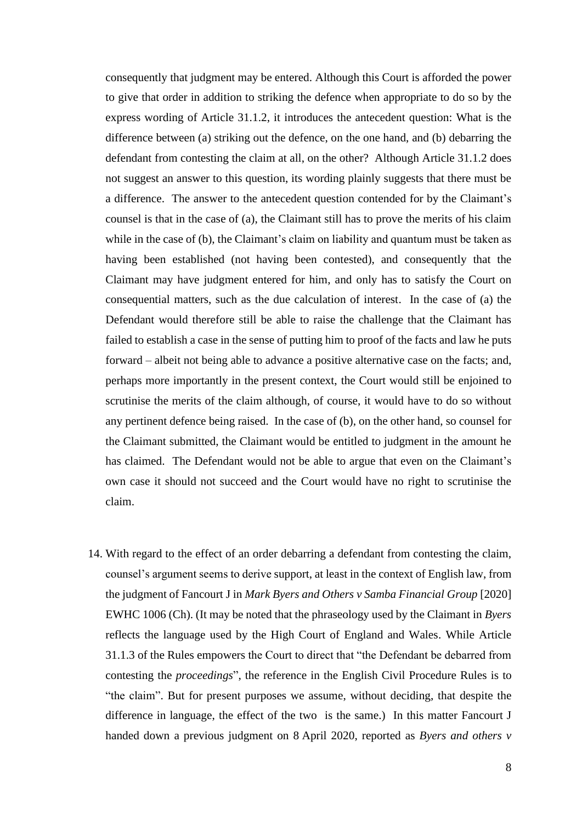consequently that judgment may be entered. Although this Court is afforded the power to give that order in addition to striking the defence when appropriate to do so by the express wording of Article 31.1.2, it introduces the antecedent question: What is the difference between (a) striking out the defence, on the one hand, and (b) debarring the defendant from contesting the claim at all, on the other? Although Article 31.1.2 does not suggest an answer to this question, its wording plainly suggests that there must be a difference. The answer to the antecedent question contended for by the Claimant's counsel is that in the case of (a), the Claimant still has to prove the merits of his claim while in the case of (b), the Claimant's claim on liability and quantum must be taken as having been established (not having been contested), and consequently that the Claimant may have judgment entered for him, and only has to satisfy the Court on consequential matters, such as the due calculation of interest. In the case of (a) the Defendant would therefore still be able to raise the challenge that the Claimant has failed to establish a case in the sense of putting him to proof of the facts and law he puts forward – albeit not being able to advance a positive alternative case on the facts; and, perhaps more importantly in the present context, the Court would still be enjoined to scrutinise the merits of the claim although, of course, it would have to do so without any pertinent defence being raised. In the case of (b), on the other hand, so counsel for the Claimant submitted, the Claimant would be entitled to judgment in the amount he has claimed. The Defendant would not be able to argue that even on the Claimant's own case it should not succeed and the Court would have no right to scrutinise the claim.

14. With regard to the effect of an order debarring a defendant from contesting the claim, counsel's argument seems to derive support, at least in the context of English law, from the judgment of Fancourt J in *Mark Byers and Others v Samba Financial Group* [2020] EWHC 1006 (Ch). (It may be noted that the phraseology used by the Claimant in *Byers* reflects the language used by the High Court of England and Wales. While Article 31.1.3 of the Rules empowers the Court to direct that "the Defendant be debarred from contesting the *proceedings*", the reference in the English Civil Procedure Rules is to "the claim". But for present purposes we assume, without deciding, that despite the difference in language, the effect of the two is the same.) In this matter Fancourt J handed down a previous judgment on 8 April 2020, reported as *Byers and others v*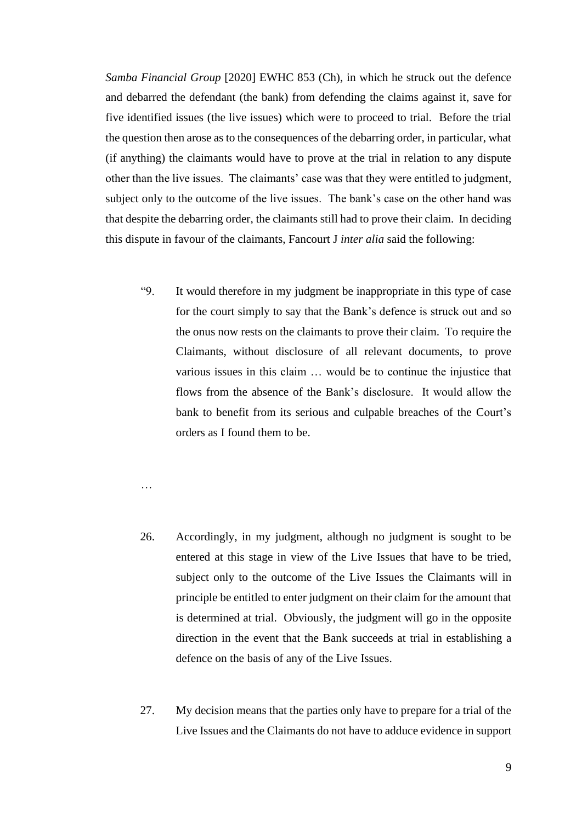*Samba Financial Group* [2020] EWHC 853 (Ch), in which he struck out the defence and debarred the defendant (the bank) from defending the claims against it, save for five identified issues (the live issues) which were to proceed to trial. Before the trial the question then arose as to the consequences of the debarring order, in particular, what (if anything) the claimants would have to prove at the trial in relation to any dispute other than the live issues. The claimants' case was that they were entitled to judgment, subject only to the outcome of the live issues. The bank's case on the other hand was that despite the debarring order, the claimants still had to prove their claim. In deciding this dispute in favour of the claimants, Fancourt J *inter alia* said the following:

"9. It would therefore in my judgment be inappropriate in this type of case for the court simply to say that the Bank's defence is struck out and so the onus now rests on the claimants to prove their claim. To require the Claimants, without disclosure of all relevant documents, to prove various issues in this claim … would be to continue the injustice that flows from the absence of the Bank's disclosure. It would allow the bank to benefit from its serious and culpable breaches of the Court's orders as I found them to be.

…

- 26. Accordingly, in my judgment, although no judgment is sought to be entered at this stage in view of the Live Issues that have to be tried, subject only to the outcome of the Live Issues the Claimants will in principle be entitled to enter judgment on their claim for the amount that is determined at trial. Obviously, the judgment will go in the opposite direction in the event that the Bank succeeds at trial in establishing a defence on the basis of any of the Live Issues.
- 27. My decision means that the parties only have to prepare for a trial of the Live Issues and the Claimants do not have to adduce evidence in support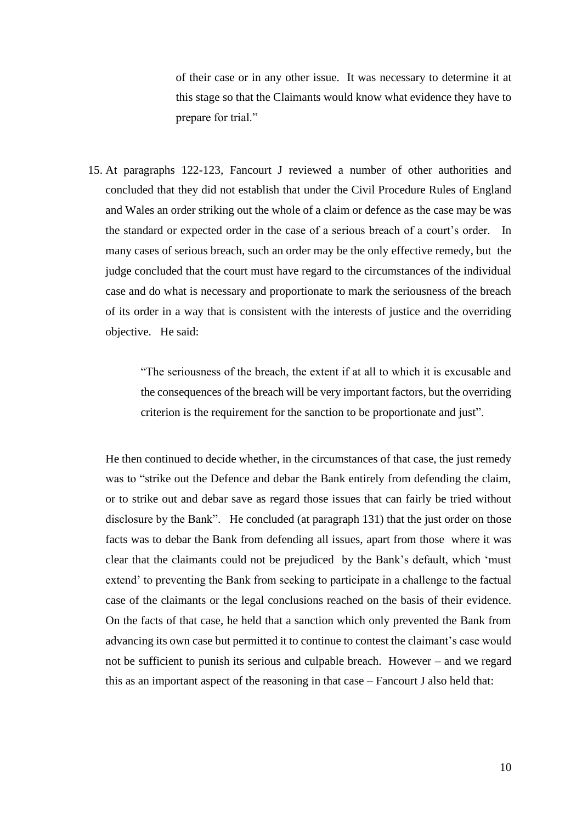of their case or in any other issue. It was necessary to determine it at this stage so that the Claimants would know what evidence they have to prepare for trial."

15. At paragraphs 122-123, Fancourt J reviewed a number of other authorities and concluded that they did not establish that under the Civil Procedure Rules of England and Wales an order striking out the whole of a claim or defence as the case may be was the standard or expected order in the case of a serious breach of a court's order. In many cases of serious breach, such an order may be the only effective remedy, but the judge concluded that the court must have regard to the circumstances of the individual case and do what is necessary and proportionate to mark the seriousness of the breach of its order in a way that is consistent with the interests of justice and the overriding objective. He said:

> "The seriousness of the breach, the extent if at all to which it is excusable and the consequences of the breach will be very important factors, but the overriding criterion is the requirement for the sanction to be proportionate and just".

He then continued to decide whether, in the circumstances of that case, the just remedy was to "strike out the Defence and debar the Bank entirely from defending the claim, or to strike out and debar save as regard those issues that can fairly be tried without disclosure by the Bank". He concluded (at paragraph 131) that the just order on those facts was to debar the Bank from defending all issues, apart from those where it was clear that the claimants could not be prejudiced by the Bank's default, which 'must extend' to preventing the Bank from seeking to participate in a challenge to the factual case of the claimants or the legal conclusions reached on the basis of their evidence. On the facts of that case, he held that a sanction which only prevented the Bank from advancing its own case but permitted it to continue to contest the claimant's case would not be sufficient to punish its serious and culpable breach. However – and we regard this as an important aspect of the reasoning in that case – Fancourt J also held that: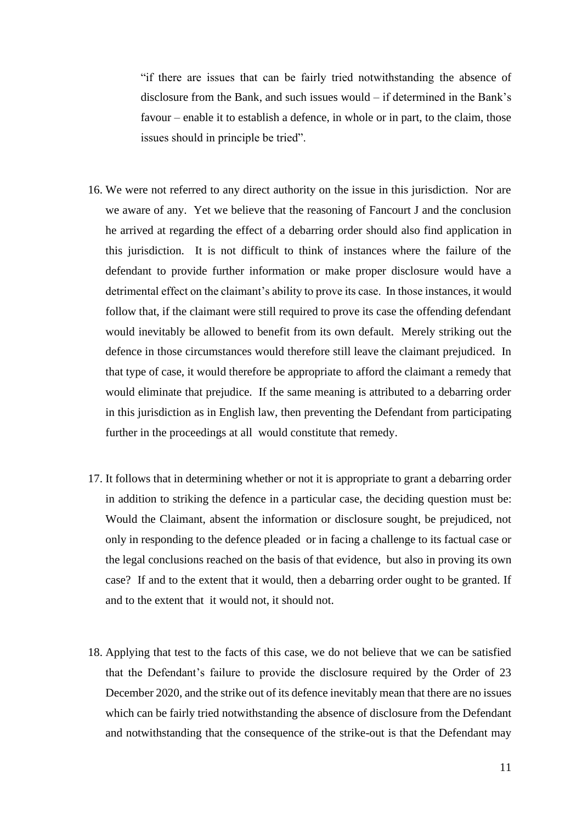"if there are issues that can be fairly tried notwithstanding the absence of disclosure from the Bank, and such issues would – if determined in the Bank's favour – enable it to establish a defence, in whole or in part, to the claim, those issues should in principle be tried".

- 16. We were not referred to any direct authority on the issue in this jurisdiction. Nor are we aware of any. Yet we believe that the reasoning of Fancourt J and the conclusion he arrived at regarding the effect of a debarring order should also find application in this jurisdiction. It is not difficult to think of instances where the failure of the defendant to provide further information or make proper disclosure would have a detrimental effect on the claimant's ability to prove its case. In those instances, it would follow that, if the claimant were still required to prove its case the offending defendant would inevitably be allowed to benefit from its own default. Merely striking out the defence in those circumstances would therefore still leave the claimant prejudiced. In that type of case, it would therefore be appropriate to afford the claimant a remedy that would eliminate that prejudice. If the same meaning is attributed to a debarring order in this jurisdiction as in English law, then preventing the Defendant from participating further in the proceedings at all would constitute that remedy.
- 17. It follows that in determining whether or not it is appropriate to grant a debarring order in addition to striking the defence in a particular case, the deciding question must be: Would the Claimant, absent the information or disclosure sought, be prejudiced, not only in responding to the defence pleaded or in facing a challenge to its factual case or the legal conclusions reached on the basis of that evidence, but also in proving its own case? If and to the extent that it would, then a debarring order ought to be granted. If and to the extent that it would not, it should not.
- 18. Applying that test to the facts of this case, we do not believe that we can be satisfied that the Defendant's failure to provide the disclosure required by the Order of 23 December 2020, and the strike out of its defence inevitably mean that there are no issues which can be fairly tried notwithstanding the absence of disclosure from the Defendant and notwithstanding that the consequence of the strike-out is that the Defendant may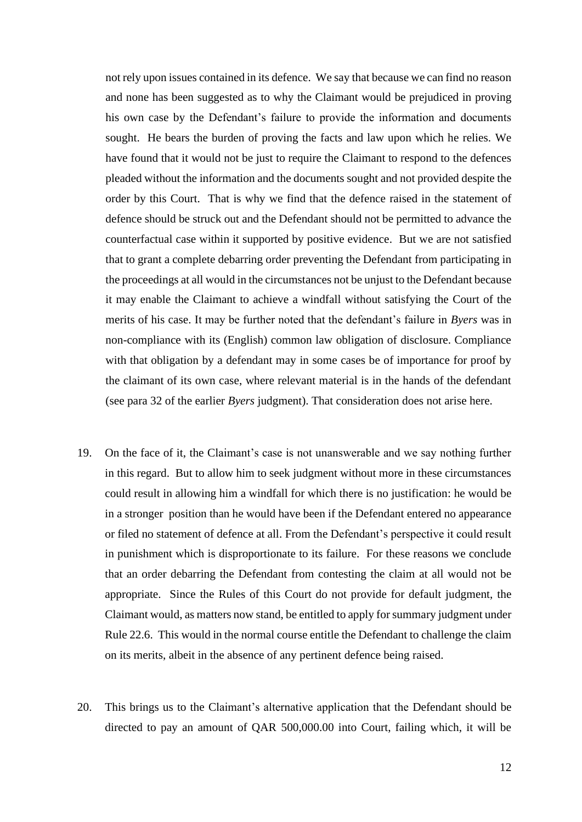not rely upon issues contained in its defence. We say that because we can find no reason and none has been suggested as to why the Claimant would be prejudiced in proving his own case by the Defendant's failure to provide the information and documents sought. He bears the burden of proving the facts and law upon which he relies. We have found that it would not be just to require the Claimant to respond to the defences pleaded without the information and the documents sought and not provided despite the order by this Court. That is why we find that the defence raised in the statement of defence should be struck out and the Defendant should not be permitted to advance the counterfactual case within it supported by positive evidence. But we are not satisfied that to grant a complete debarring order preventing the Defendant from participating in the proceedings at all would in the circumstances not be unjust to the Defendant because it may enable the Claimant to achieve a windfall without satisfying the Court of the merits of his case. It may be further noted that the defendant's failure in *Byers* was in non-compliance with its (English) common law obligation of disclosure. Compliance with that obligation by a defendant may in some cases be of importance for proof by the claimant of its own case, where relevant material is in the hands of the defendant (see para 32 of the earlier *Byers* judgment). That consideration does not arise here.

- 19. On the face of it, the Claimant's case is not unanswerable and we say nothing further in this regard. But to allow him to seek judgment without more in these circumstances could result in allowing him a windfall for which there is no justification: he would be in a stronger position than he would have been if the Defendant entered no appearance or filed no statement of defence at all. From the Defendant's perspective it could result in punishment which is disproportionate to its failure. For these reasons we conclude that an order debarring the Defendant from contesting the claim at all would not be appropriate. Since the Rules of this Court do not provide for default judgment, the Claimant would, as matters now stand, be entitled to apply for summary judgment under Rule 22.6. This would in the normal course entitle the Defendant to challenge the claim on its merits, albeit in the absence of any pertinent defence being raised.
- 20. This brings us to the Claimant's alternative application that the Defendant should be directed to pay an amount of QAR 500,000.00 into Court, failing which, it will be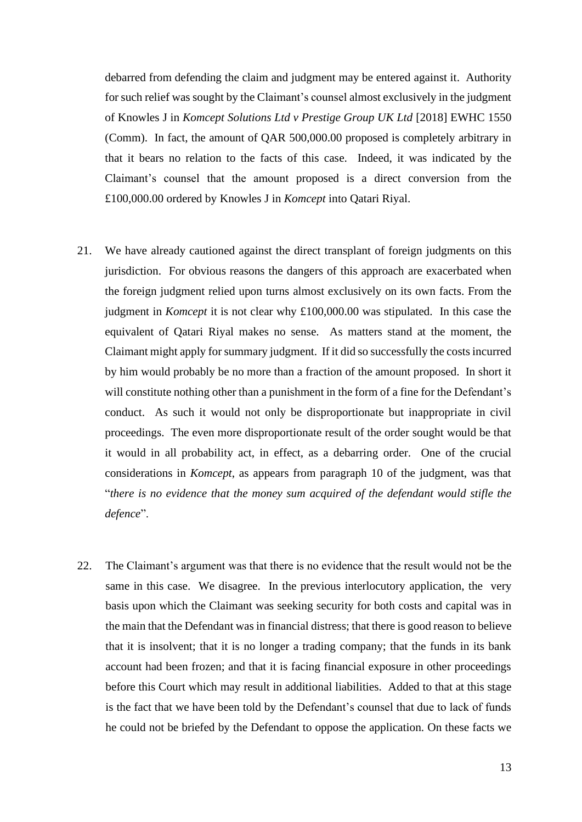debarred from defending the claim and judgment may be entered against it. Authority for such relief was sought by the Claimant's counsel almost exclusively in the judgment of Knowles J in *Komcept Solutions Ltd v Prestige Group UK Ltd* [2018] EWHC 1550 (Comm). In fact, the amount of QAR 500,000.00 proposed is completely arbitrary in that it bears no relation to the facts of this case. Indeed, it was indicated by the Claimant's counsel that the amount proposed is a direct conversion from the £100,000.00 ordered by Knowles J in *Komcept* into Qatari Riyal.

- 21. We have already cautioned against the direct transplant of foreign judgments on this jurisdiction. For obvious reasons the dangers of this approach are exacerbated when the foreign judgment relied upon turns almost exclusively on its own facts. From the judgment in *Komcept* it is not clear why £100,000.00 was stipulated. In this case the equivalent of Qatari Riyal makes no sense. As matters stand at the moment, the Claimant might apply for summary judgment. If it did so successfully the costs incurred by him would probably be no more than a fraction of the amount proposed. In short it will constitute nothing other than a punishment in the form of a fine for the Defendant's conduct. As such it would not only be disproportionate but inappropriate in civil proceedings. The even more disproportionate result of the order sought would be that it would in all probability act, in effect, as a debarring order. One of the crucial considerations in *Komcept*, as appears from paragraph 10 of the judgment, was that "*there is no evidence that the money sum acquired of the defendant would stifle the defence*".
- 22. The Claimant's argument was that there is no evidence that the result would not be the same in this case. We disagree. In the previous interlocutory application, the very basis upon which the Claimant was seeking security for both costs and capital was in the main that the Defendant was in financial distress; that there is good reason to believe that it is insolvent; that it is no longer a trading company; that the funds in its bank account had been frozen; and that it is facing financial exposure in other proceedings before this Court which may result in additional liabilities. Added to that at this stage is the fact that we have been told by the Defendant's counsel that due to lack of funds he could not be briefed by the Defendant to oppose the application. On these facts we